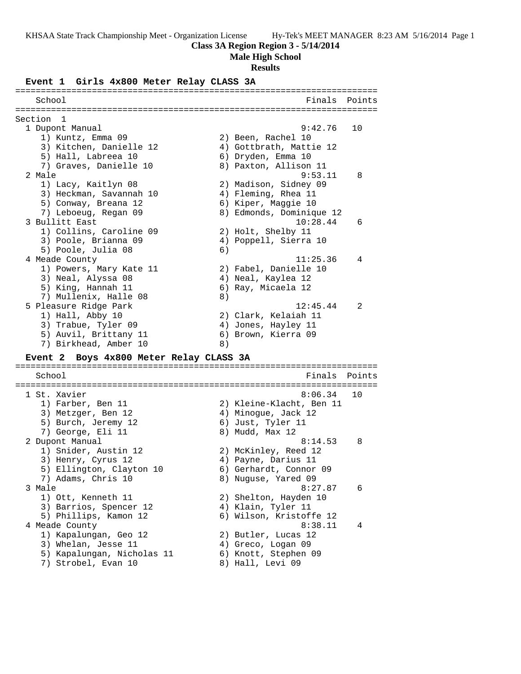### **Class 3A Region Region 3 - 5/14/2014**

**Male High School**

#### **Results**

#### **Event 1 Girls 4x800 Meter Relay CLASS 3A**

======================================================================= School **Finals Points** ======================================================================= Section 1<br>1 Dupont Manual 1 Dupont Manual 9:42.76 10 1) Kuntz, Emma 09 2) Been, Rachel 10 3) Kitchen, Danielle 12 4) Gottbrath, Mattie 12 5) Hall, Labreea 10 6) Dryden, Emma 10 7) Graves, Danielle 10 8) Paxton, Allison 11 2 Male 9:53.11 8 1) Lacy, Kaitlyn 08 2) Madison, Sidney 09 3) Heckman, Savannah 10 4) Fleming, Rhea 11 5) Conway, Breana 12 (6) Kiper, Maggie 10 7) Leboeug, Regan 09 8) Edmonds, Dominique 12 3 Bullitt East 10:28.44 6 1) Collins, Caroline 09 2) Holt, Shelby 11 3) Poole, Brianna 09 4) Poppell, Sierra 10 5) Poole, Julia 08 (6) 4 Meade County 11:25.36 4 1) Powers, Mary Kate 11 2) Fabel, Danielle 10 3) Neal, Alyssa 08 4) Neal, Kaylea 12 5) King, Hannah 11  $\qquad \qquad$  6) Ray, Micaela 12 7) Mullenix, Halle 08 8) 5 Pleasure Ridge Park 12:45.44 2 1) Hall, Abby 10 2) Clark, Kelaiah 11 3) Trabue, Tyler 09 4) Jones, Hayley 11 5) Auvil, Brittany 11 (6) Brown, Kierra 09 7) Birkhead, Amber 10 8)

## **Event 2 Boys 4x800 Meter Relay CLASS 3A**

======================================================================= School **Finals** Points ======================================================================= 1 St. Xavier 8:06.34 10 1) Farber, Ben 11 2) Kleine-Klacht, Ben 11 3) Metzger, Ben 12 (4) Minogue, Jack 12 5) Burch, Jeremy 12 (6) Just, Tyler 11 7) George, Eli 11 and 8) Mudd, Max 12 2 Dupont Manual 8:14.53 8 1) Snider, Austin 12 2) McKinley, Reed 12 3) Henry, Cyrus 12 4) Payne, Darius 11 5) Ellington, Clayton 10 6) Gerhardt, Connor 09 7) Adams, Chris 10 8) Nuguse, Yared 09 3 Male 8:27.87 6 1) Ott, Kenneth 11 2) Shelton, Hayden 10 3) Barrios, Spencer 12 (4) Klain, Tyler 11 5) Phillips, Kamon 12 6) Wilson, Kristoffe 12 4 Meade County 8:38.11 4 1) Kapalungan, Geo 12 2) Butler, Lucas 12 3) Whelan, Jesse 11 (4) Greco, Logan 09 5) Kapalungan, Nicholas 11 6) Knott, Stephen 09 7) Strobel, Evan 10 8) Hall, Levi 09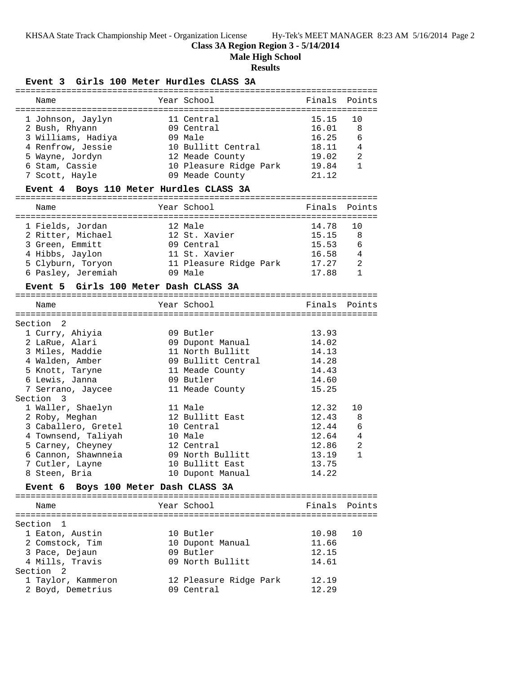**Class 3A Region Region 3 - 5/14/2014**

**Male High School**

## **Results**

## **Event 3 Girls 100 Meter Hurdles CLASS 3A**

| Name                                                                                                                                  | Year School                                                                                                                 | Finals Points                                               |                                           |
|---------------------------------------------------------------------------------------------------------------------------------------|-----------------------------------------------------------------------------------------------------------------------------|-------------------------------------------------------------|-------------------------------------------|
| 1 Johnson, Jaylyn<br>2 Bush, Rhyann<br>3 Williams, Hadiya<br>4 Renfrow, Jessie<br>5 Wayne, Jordyn<br>6 Stam, Cassie<br>7 Scott, Hayle | 11 Central<br>09 Central<br>$09$ Male<br>10 Bullitt Central<br>12 Meade County<br>10 Pleasure Ridge Park<br>09 Meade County | 15.15<br>16.01<br>16.25<br>18.11<br>19.02<br>19.84<br>21 12 | 1 O<br>8<br>6<br>$\overline{4}$<br>2<br>1 |
|                                                                                                                                       |                                                                                                                             |                                                             |                                           |

## **Event 4 Boys 110 Meter Hurdles CLASS 3A**

| Name               | Year School            | Finals Points |                |
|--------------------|------------------------|---------------|----------------|
|                    |                        |               |                |
| 1 Fields, Jordan   | 12 Male                | 14.78 10      |                |
| 2 Ritter, Michael  | 12 St. Xavier          | 15.15         | - 8            |
| 3 Green, Emmitt    | 09 Central             | 15.53         | - 6            |
| 4 Hibbs, Jaylon    | 11 St. Xavier          | 16.58         | $\overline{4}$ |
| 5 Clyburn, Toryon  | 11 Pleasure Ridge Park | 17.27         | 2              |
| 6 Pasley, Jeremiah | $09$ Male              | 17.88         |                |

# **Event 5 Girls 100 Meter Dash CLASS 3A**

| Name                                 |  | Year School        | Finals | Points         |  |  |
|--------------------------------------|--|--------------------|--------|----------------|--|--|
|                                      |  |                    |        |                |  |  |
| Section<br>-2                        |  |                    |        |                |  |  |
| 1 Curry, Ahiyia                      |  | 09 Butler          | 13.93  |                |  |  |
| 2 LaRue, Alari                       |  | 09 Dupont Manual   | 14.02  |                |  |  |
| 3 Miles, Maddie                      |  | 11 North Bullitt   | 14.13  |                |  |  |
| 4 Walden, Amber                      |  | 09 Bullitt Central | 14.28  |                |  |  |
| 5 Knott, Taryne                      |  | 11 Meade County    | 14.43  |                |  |  |
| 6 Lewis, Janna                       |  | 09 Butler          | 14.60  |                |  |  |
| 7 Serrano, Jaycee                    |  | 11 Meade County    | 15.25  |                |  |  |
| Section 3                            |  |                    |        |                |  |  |
| 1 Waller, Shaelyn                    |  | 11 Male            | 12.32  | 10             |  |  |
| 2 Roby, Meghan                       |  | 12 Bullitt East    | 12.43  | 8              |  |  |
| 3 Caballero, Gretel                  |  | 10 Central         | 12.44  | 6              |  |  |
| 4 Townsend, Taliyah                  |  | 10 Male            | 12.64  | $\overline{4}$ |  |  |
| 5 Carney, Cheyney                    |  | 12 Central         | 12.86  | 2              |  |  |
| 6 Cannon, Shawnneia                  |  | 09 North Bullitt   | 13.19  | 1              |  |  |
| 7 Cutler, Layne                      |  | 10 Bullitt East    | 13.75  |                |  |  |
| 8 Steen, Bria                        |  | 10 Dupont Manual   | 14.22  |                |  |  |
| Event 6 Boys 100 Meter Dash CLASS 3A |  |                    |        |                |  |  |
|                                      |  |                    |        |                |  |  |
| Name                                 |  | Year School        | Finals | Points         |  |  |
|                                      |  |                    |        |                |  |  |
| Section<br>$\mathbf{1}$              |  |                    |        |                |  |  |

| 10 Butler              | 10.98<br>1 O |
|------------------------|--------------|
| 10 Dupont Manual       | 11.66        |
| 09 Butler              | 12.15        |
| 09 North Bullitt       | 14.61        |
|                        |              |
| 12 Pleasure Ridge Park | 12.19        |
| 09 Central             | 12.29        |
|                        |              |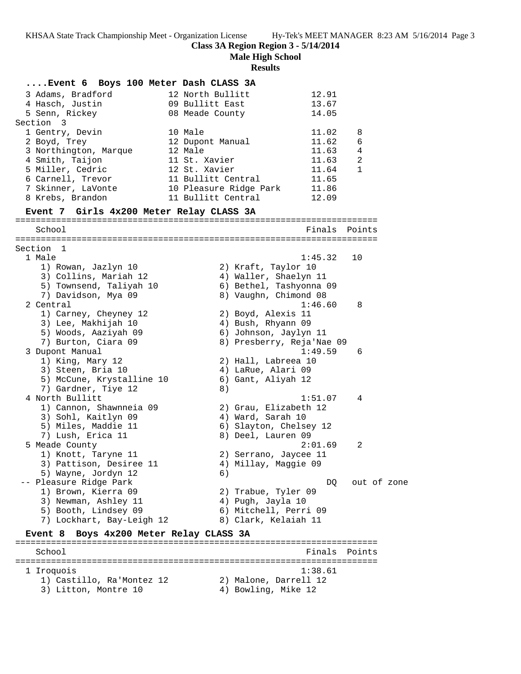**Class 3A Region Region 3 - 5/14/2014**

**Male High School**

#### **Results**

**....Event 6 Boys 100 Meter Dash CLASS 3A** 3 Adams, Bradford 12 North Bullitt 12.91 4 Hasch, Justin 09 Bullitt East 13.67 5 Senn, Rickey 08 Meade County 14.05 Section 3 1 Gentry, Devin 10 Male 11.02 8 2 Boyd, Trey 12 Dupont Manual 11.62 6 3 Northington, Marque 12 Male 11.63 4 4 Smith, Taijon 11 St. Xavier 11.63 2 5 Miller, Cedric 12 St. Xavier 11.64 1 6 Carnell, Trevor 11 Bullitt Central 11.65 7 Skinner, LaVonte 10 Pleasure Ridge Park 11.86 8 Krebs, Brandon 11 Bullitt Central 12.09 **Event 7 Girls 4x200 Meter Relay CLASS 3A** ======================================================================= School **Finals** Points ======================================================================= Section 1 1 Male 1:45.32 10 1) Rowan, Jazlyn 10 2) Kraft, Taylor 10 3) Collins, Mariah 12 4) Waller, Shaelyn 11 5) Townsend, Taliyah 10 6) Bethel, Tashyonna 09 7) Davidson, Mya 09 8) Vaughn, Chimond 08 2 Central 1:46.60 8 1) Carney, Cheyney 12 2) Boyd, Alexis 11 3) Lee, Makhijah 10 4) Bush, Rhyann 09 5) Woods, Aaziyah 09 6) Johnson, Jaylyn 11 7) Burton, Ciara 09 8) Presberry, Reja'Nae 09 3 Dupont Manual 1:49.59 6 1) King, Mary 12 2) Hall, Labreea 10 3) Steen, Bria 10 (4) LaRue, Alari 09 5) McCune, Krystalline 10 6) Gant, Aliyah 12 7) Gardner, Tiye 12 (8) 4 North Bullitt 1:51.07 4 1) Cannon, Shawnneia 09 2) Grau, Elizabeth 12 3) Sohl, Kaitlyn 09 1940 Mard, Sarah 10 5) Miles, Maddie 11 6) Slayton, Chelsey 12 7) Lush, Erica 11 and 8) Deel, Lauren 09 5 Meade County 2:01.69 2 1) Knott, Taryne 11 2) Serrano, Jaycee 11 3) Pattison, Desiree 11  $\qquad \qquad \qquad$  4) Millay, Maggie 09 5) Wayne, Jordyn 12 6) -- Pleasure Ridge Park de Communication of the DQ out of zone 1) Brown, Kierra 09 2) Trabue, Tyler 09 3) Newman, Ashley 11  $\hskip1cm 4)$  Pugh, Jayla 10 5) Booth, Lindsey 09 6) Mitchell, Perri 09 7) Lockhart, Bay-Leigh 12 8) Clark, Kelaiah 11 **Event 8 Boys 4x200 Meter Relay CLASS 3A** ======================================================================= School **Finals Points** ======================================================================= 1 Iroquois 1:38.61 1) Castillo, Ra'Montez 12 2) Malone, Darrell 12 3) Litton, Montre 10 (4) Bowling, Mike 12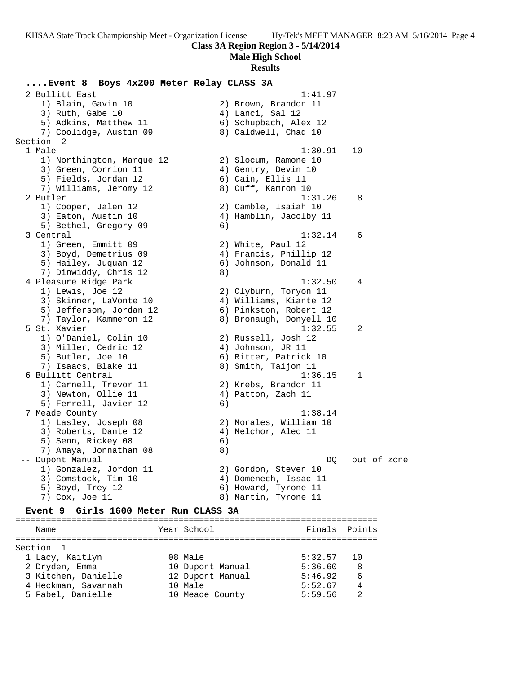## **Class 3A Region Region 3 - 5/14/2014**

**Male High School**

#### **Results**

## **....Event 8 Boys 4x200 Meter Relay CLASS 3A** 2 Bullitt East 1:41.97 1) Blain, Gavin 10 2) Brown, Brandon 11 3) Ruth, Gabe 10 (4) Lanci, Sal 12 5) Adkins, Matthew 11 6) Schupbach, Alex 12 7) Coolidge, Austin 09 8) Caldwell, Chad 10 Section 2 1 Male 1:30.91 10 1) Northington, Marque 12 (2) Slocum, Ramone 10 3) Green, Corrion 11 (4) Gentry, Devin 10 5) Fields, Jordan 12 (6) Cain, Ellis 11 7) Williams, Jeromy 12 and 8) Cuff, Kamron 10 2 Butler 1:31.26 8 1) Cooper, Jalen 12 2) Camble, Isaiah 10 3) Eaton, Austin 10 4) Hamblin, Jacolby 11 5) Bethel, Gregory 09 6) 3 Central 1:32.14 6 1) Green, Emmitt 09 2) White, Paul 12 3) Boyd, Demetrius 09 4) Francis, Phillip 12 5) Hailey, Juquan 12 6) Johnson, Donald 11 7) Dinwiddy, Chris 12 8) 4 Pleasure Ridge Park 1:32.50 4 1) Lewis, Joe 12 2) Clyburn, Toryon 11 3) Skinner, LaVonte 10 4) Williams, Kiante 12 5) Jefferson, Jordan 12 6) Pinkston, Robert 12 7) Taylor, Kammeron 12 8) Bronaugh, Donyell 10 5 St. Xavier 1:32.55 2 1) O'Daniel, Colin 10 2) Russell, Josh 12 3) Miller, Cedric 12 (a) 4) Johnson, JR 11 5) Butler, Joe 10 6) Ritter, Patrick 10 7) Isaacs, Blake 11 8) Smith, Taijon 11 6 Bullitt Central 1:36.15 1 1) Carnell, Trevor 11 (2) Krebs, Brandon 11 3) Newton, Ollie 11 4) Patton, Zach 11 5) Ferrell, Javier 12 (6) 7 Meade County 1:38.14 1) Lasley, Joseph 08 2) Morales, William 10 3) Roberts, Dante 12 (4) Melchor, Alec 11 5) Senn, Rickey 08 (6) 7) Amaya, Jonnathan 08 (8) -- Dupont Manual DQ out of zone 1) Gonzalez, Jordon 11 (2) Gordon, Steven 10 3) Comstock, Tim 10 4) Domenech, Issac 11 5) Boyd, Trey 12 6) Howard, Tyrone 11 7) Cox, Joe 11 and 18 Martin, Tyrone 11 **Event 9 Girls 1600 Meter Run CLASS 3A**

======================================================================= Name The Year School Team Points Points =======================================================================

| Section 1           |                  |         |      |
|---------------------|------------------|---------|------|
| 1 Lacy, Kaitlyn     | 08 Male          | 5:32.57 | - 10 |
| 2 Dryden, Emma      | 10 Dupont Manual | 5:36.60 | R    |
| 3 Kitchen, Danielle | 12 Dupont Manual | 5:46.92 | - 6  |
| 4 Heckman, Savannah | 10 Male          | 5:52.67 | 4    |
| 5 Fabel, Danielle   | 10 Meade County  | 5:59.56 |      |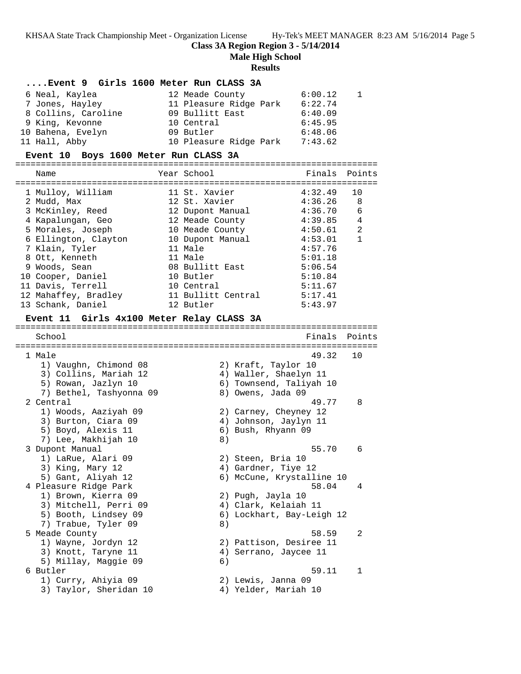**Class 3A Region Region 3 - 5/14/2014**

**Male High School**

#### **Results**

|                                       | Event 9 Girls 1600 Meter Run CLASS 3A |               |  |  |  |  |
|---------------------------------------|---------------------------------------|---------------|--|--|--|--|
| 6 Neal, Kaylea                        | 12 Meade County                       | $6:00.12$ 1   |  |  |  |  |
| 7 Jones, Hayley                       | 11 Pleasure Ridge Park                | 6:22.74       |  |  |  |  |
| 8 Collins, Caroline                   | 09 Bullitt East                       | 6:40.09       |  |  |  |  |
| 9 King, Kevonne                       | 10 Central                            | 6:45.95       |  |  |  |  |
| 10 Bahena, Evelyn                     | 09 Butler                             | 6:48.06       |  |  |  |  |
| 11 Hall, Abby                         | 10 Pleasure Ridge Park                | 7:43.62       |  |  |  |  |
| Event 10 Boys 1600 Meter Run CLASS 3A |                                       |               |  |  |  |  |
| Name                                  | Year School                           | Finals Points |  |  |  |  |

| 1 Mulloy, William    | 11 St. Xavier      | 4:32.49 | 10 |
|----------------------|--------------------|---------|----|
| 2 Mudd, Max          | 12 St. Xavier      | 4:36.26 | 8  |
| 3 McKinley, Reed     | 12 Dupont Manual   | 4:36.70 | 6  |
| 4 Kapalungan, Geo    | 12 Meade County    | 4:39.85 | 4  |
| 5 Morales, Joseph    | 10 Meade County    | 4:50.61 | 2  |
| 6 Ellington, Clayton | 10 Dupont Manual   | 4:53.01 | 1  |
| 7 Klain, Tyler       | 11 Male            | 4:57.76 |    |
| 8 Ott, Kenneth       | 11 Male            | 5:01.18 |    |
| 9 Woods, Sean        | 08 Bullitt East    | 5:06.54 |    |
| 10 Cooper, Daniel    | 10 Butler          | 5:10.84 |    |
| 11 Davis, Terrell    | 10 Central         | 5:11.67 |    |
| 12 Mahaffey, Bradley | 11 Bullitt Central | 5:17.41 |    |
| 13 Schank, Daniel    | 12 Butler          | 5:43.97 |    |

#### **Event 11 Girls 4x100 Meter Relay CLASS 3A**

======================================================================= School **Finals** Points **Points** ======================================================================= 1 Male 49.32 10 1) Vaughn, Chimond 08 2) Kraft, Taylor 10 3) Collins, Mariah 12 4) Waller, Shaelyn 11 5) Rowan, Jazlyn 10 6) Townsend, Taliyah 10 7) Bethel, Tashyonna 09 8) Owens, Jada 09 2 Central 49.77 8 1) Woods, Aaziyah 09 2) Carney, Cheyney 12 3) Burton, Ciara 09 4) Johnson, Jaylyn 11 5) Boyd, Alexis 11 6) Bush, Rhyann 09 7) Lee, Makhijah 10 8) 3 Dupont Manual 55.70 6 1) LaRue, Alari 09 2) Steen, Bria 10 3) King, Mary 12 (4) Gardner, Tiye 12 5) Gant, Aliyah 12 6) McCune, Krystalline 10 4 Pleasure Ridge Park 58.04 4 1) Brown, Kierra 09 2) Pugh, Jayla 10 3) Mitchell, Perri 09  $\hskip1cm$  4) Clark, Kelaiah 11 5) Booth, Lindsey 09 6) Lockhart, Bay-Leigh 12 7) Trabue, Tyler 09 8) 5 Meade County 58.59 2 1) Wayne, Jordyn 12 2) Pattison, Desiree 11 3) Knott, Taryne 11 4) Serrano, Jaycee 11 5) Millay, Maggie 09 6) 6 Butler 59.11 1 1) Curry, Ahiyia 09 2) Lewis, Janna 09 3) Taylor, Sheridan 10  $\hskip1cm$  4) Yelder, Mariah 10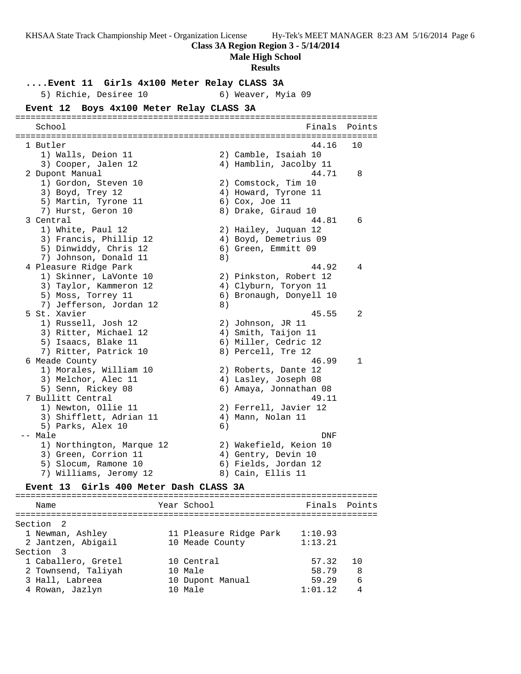**Class 3A Region Region 3 - 5/14/2014**

**Male High School**

#### **Results**

**....Event 11 Girls 4x100 Meter Relay CLASS 3A** 5) Richie, Desiree 10 (6) Weaver, Myia 09 **Event 12 Boys 4x100 Meter Relay CLASS 3A** ======================================================================= School **Finals** Points ======================================================================= 1 Butler 44.16 10 1) Walls, Deion 11 2) Camble, Isaiah 10 3) Cooper, Jalen 12 4) Hamblin, Jacolby 11 2 Dupont Manual 44.71 8 1) Gordon, Steven 10 2) Comstock, Tim 10 3) Boyd, Trey 12 12 12 12 12 12 4 Howard, Tyrone 11 5) Martin, Tyrone 11 (6) Cox, Joe 11 7) Hurst, Geron 10 8) Drake, Giraud 10 3 Central 44.81 6 1) White, Paul 12 2) Hailey, Juquan 12 3) Francis, Phillip 12 4) Boyd, Demetrius 09 5) Dinwiddy, Chris 12 (6) Green, Emmitt 09 7) Johnson, Donald 11 8) 4 Pleasure Ridge Park 14.92 4 1) Skinner, LaVonte 10 2) Pinkston, Robert 12 3) Taylor, Kammeron 12 4) Clyburn, Toryon 11 5) Moss, Torrey 11 6) Bronaugh, Donyell 10 7) Jefferson, Jordan 12 (8) 5 St. Xavier 45.55 2 1) Russell, Josh 12 2) Johnson, JR 11 3) Ritter, Michael 12 (4) Smith, Taijon 11 5) Isaacs, Blake 11 6) Miller, Cedric 12 7) Ritter, Patrick 10 (8) Percell, Tre 12 6 Meade County 46.99 1 1) Morales, William 10 2) Roberts, Dante 12 3) Melchor, Alec 11 4) Lasley, Joseph 08 5) Senn, Rickey 08 6) Amaya, Jonnathan 08 7 Bullitt Central 49.11 1) Newton, Ollie 11 2) Ferrell, Javier 12 3) Shifflett, Adrian 11  $\qquad \qquad$  4) Mann, Nolan 11 5) Parks, Alex 10 (6) -- Male DNF 1) Northington, Marque 12 2) Wakefield, Keion 10 3) Green, Corrion 11 (4) Gentry, Devin 10 5) Slocum, Ramone 10 6) Fields, Jordan 12 7) Williams, Jeromy 12 and 8) Cain, Ellis 11

## **Event 13 Girls 400 Meter Dash CLASS 3A**

======================================================================= Name The Year School The Finals Points ======================================================================= Section 2 1 Newman, Ashley 11 Pleasure Ridge Park 1:10.93 2 Jantzen, Abigail 10 Meade County 1:13.21 Section 3 1 Caballero, Gretel 10 Central 57.32 10 2 Townsend, Taliyah 10 Male 58.79 8 3 Hall, Labreea 10 Dupont Manual 59.29 6 4 Rowan, Jazlyn 10 Male 1:01.12 4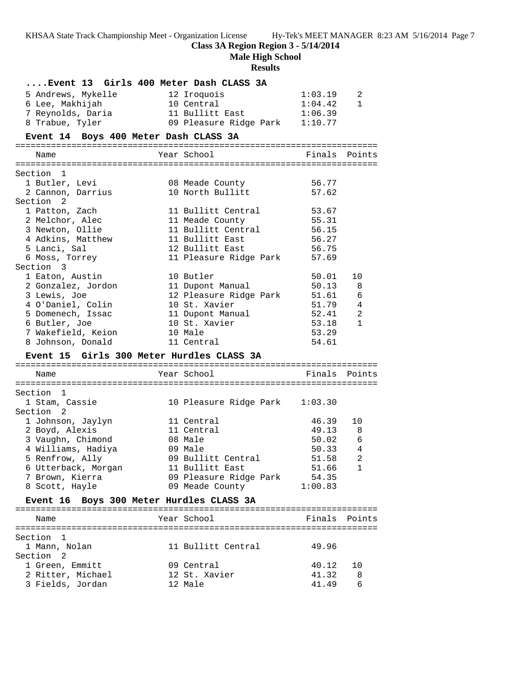**Class 3A Region Region 3 - 5/14/2014**

**Male High School**

## **Results**

|                                           | Event 13 Girls 400 Meter Dash CLASS 3A |                |                          |
|-------------------------------------------|----------------------------------------|----------------|--------------------------|
| 5 Andrews, Mykelle                        | 12 Iroquois                            | 1:03.19        | 2                        |
| 6 Lee, Makhijah                           | 10 Central                             | 1:04.42        | $\mathbf{1}$             |
| 7 Reynolds, Daria                         | 11 Bullitt East                        | 1:06.39        |                          |
| 8 Trabue, Tyler                           | 09 Pleasure Ridge Park 1:10.77         |                |                          |
| Event 14 Boys 400 Meter Dash CLASS 3A     |                                        |                |                          |
|                                           |                                        |                |                          |
| Name                                      | Year School                            | Finals Points  |                          |
| Section 1                                 |                                        |                |                          |
| 1 Butler, Levi                            | 08 Meade County                        | 56.77          |                          |
| 2 Cannon, Darrius                         | 10 North Bullitt                       | 57.62          |                          |
| Section 2                                 |                                        |                |                          |
| 1 Patton, Zach                            | 11 Bullitt Central                     | 53.67          |                          |
| 2 Melchor, Alec                           | 11 Meade County                        | 55.31          |                          |
| 3 Newton, Ollie                           | 11 Bullitt Central                     | 56.15          |                          |
| 4 Adkins, Matthew                         | 11 Bullitt East                        | 56.27          |                          |
| 5 Lanci, Sal                              | 12 Bullitt East                        | 56.75          |                          |
| 6 Moss, Torrey                            | 11 Pleasure Ridge Park                 | 57.69          |                          |
| Section 3                                 |                                        |                |                          |
| 1 Eaton, Austin                           | 10 Butler                              | 50.01          | 10                       |
| 2 Gonzalez, Jordon                        | 11 Dupont Manual                       | 50.13          | -8                       |
| 3 Lewis, Joe                              | 12 Pleasure Ridge Park                 | 51.61          | 6                        |
| 4 O'Daniel, Colin                         | 10 St. Xavier                          | 51.79          | 4                        |
| 5 Domenech, Issac                         | 11 Dupont Manual                       | 52.41          | 2                        |
| 6 Butler, Joe                             | 10 St. Xavier<br>10 Male               | 53.18          | $\mathbf 1$              |
| 7 Wakefield, Keion<br>8 Johnson, Donald   | 11 Central                             | 53.29<br>54.61 |                          |
|                                           |                                        |                |                          |
| Event 15 Girls 300 Meter Hurdles CLASS 3A |                                        |                |                          |
| Name                                      | Year School                            |                | Finals Points            |
| Section 1                                 |                                        |                |                          |
| 1 Stam, Cassie                            | 10 Pleasure Ridge Park 1:03.30         |                |                          |
| Section 2                                 |                                        |                |                          |
|                                           |                                        |                |                          |
|                                           | 11 Central                             | 46.39          | 10                       |
| 1 Johnson, Jaylyn<br>2 Boyd, Alexis       | 11 Central                             | 49.13 8        |                          |
| 3 Vaughn, Chimond                         | 08 Male                                | 50.02          | 6                        |
| 4 Williams, Hadiya                        | 09 Male                                | 50.33          | 4                        |
| 5 Renfrow, Ally                           | 09 Bullitt Central                     | 51.58          | $\overline{\phantom{a}}$ |
| 6 Utterback, Morgan                       | 11 Bullitt East                        | 51.66          | 1                        |
| 7 Brown, Kierra                           | 09 Pleasure Ridge Park                 | 54.35          |                          |
| 8 Scott, Hayle                            | 09 Meade County                        | 1:00.83        |                          |
| Event 16 Boys 300 Meter Hurdles CLASS 3A  |                                        |                |                          |
|                                           |                                        |                |                          |
| Name                                      | Year School                            |                | Finals Points            |
| Section 1                                 |                                        |                |                          |
| 1 Mann, Nolan                             | 11 Bullitt Central                     | 49.96          |                          |
| Section <sub>2</sub>                      |                                        |                |                          |
| 1 Green, Emmitt                           | 09 Central                             | 40.12          | 10                       |
| 2 Ritter, Michael<br>3 Fields, Jordan     | 12 St. Xavier<br>12 Male               | 41.32<br>41.49 | 8<br>6                   |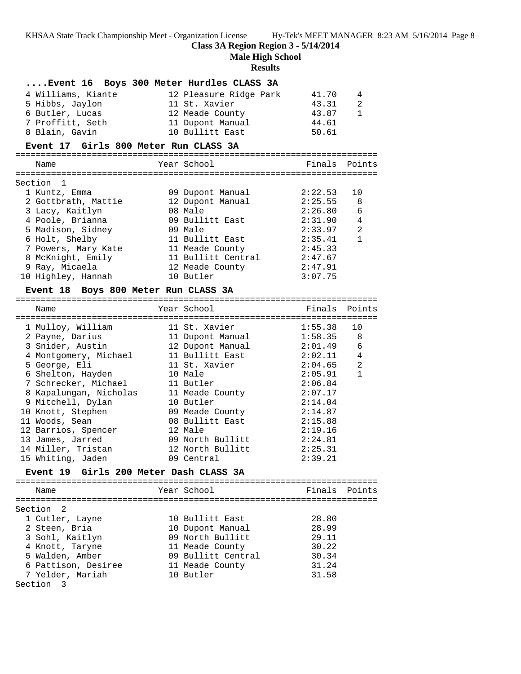## **Class 3A Region Region 3 - 5/14/2014**

=======================================================================

**Male High School**

#### **Results**

## **....Event 16 Boys 300 Meter Hurdles CLASS 3A**

| 4 Williams, Kiante | 12 Pleasure Ridge Park | 41.70 | 4   |
|--------------------|------------------------|-------|-----|
| 5 Hibbs, Jaylon    | 11 St. Xavier          | 43.31 | -2. |
| 6 Butler, Lucas    | 12 Meade County        | 43.87 | 1   |
| 7 Proffitt, Seth   | 11 Dupont Manual       | 44.61 |     |
| 8 Blain, Gavin     | 10 Bullitt East        | 50.61 |     |

## **Event 17 Girls 800 Meter Run CLASS 3A**

| Name                | Year School        | Finals Points |                |
|---------------------|--------------------|---------------|----------------|
| Section 1           |                    |               |                |
| 1 Kuntz, Emma       | 09 Dupont Manual   | 2:22.53       | 10             |
| 2 Gottbrath, Mattie | 12 Dupont Manual   | 2:25.55       | 8              |
| 3 Lacy, Kaitlyn     | 08 Male            | 2:26.80       | 6              |
| 4 Poole, Brianna    | 09 Bullitt East    | 2:31.90       | 4              |
| 5 Madison, Sidney   | 09 Male            | 2:33.97       | $\mathfrak{D}$ |
| 6 Holt, Shelby      | 11 Bullitt East    | 2:35.41       | 1              |
| 7 Powers, Mary Kate | 11 Meade County    | 2:45.33       |                |
| 8 McKnight, Emily   | 11 Bullitt Central | 2:47.67       |                |
| 9 Ray, Micaela      | 12 Meade County    | 2:47.91       |                |
| 10 Highley, Hannah  | 10 Butler          | 3:07.75       |                |
|                     |                    |               |                |

### **Event 18 Boys 800 Meter Run CLASS 3A**

| Name                                   | Year School      | Finals Points |                |
|----------------------------------------|------------------|---------------|----------------|
| 1 Mulloy, William                      | 11 St. Xavier    | 1:55.38       | 10             |
| 2 Payne, Darius                        | 11 Dupont Manual | 1:58.35       | 8              |
| 3 Snider, Austin                       | 12 Dupont Manual | 2:01.49       | 6              |
| 4 Montgomery, Michael 11 Bullitt East  |                  | 2:02.11       | $\overline{4}$ |
| 5 George, Eli                          | 11 St. Xavier    | 2:04.65       | 2              |
| 6 Shelton, Hayden                      | 10 Male          | 2:05.91       | $\mathbf{1}$   |
| 7 Schrecker, Michael 11 Butler         |                  | 2:06.84       |                |
| 8 Kapalungan, Nicholas 11 Meade County |                  | 2:07.17       |                |
| 9 Mitchell, Dylan                      | 10 Butler        | 2:14.04       |                |
| 10 Knott, Stephen                      | 09 Meade County  | 2:14.87       |                |
| 11 Woods, Sean                         | 08 Bullitt East  | 2:15.88       |                |
| 12 Barrios, Spencer                    | 12 Male          | 2:19.16       |                |
| 13 James, Jarred                       | 09 North Bullitt | 2:24.81       |                |
| 14 Miller, Tristan                     | 12 North Bullitt | 2:25.31       |                |
| 15 Whiting, Jaden                      | 09 Central       | 2:39.21       |                |

## **Event 19 Girls 200 Meter Dash CLASS 3A**

======================================================================= Name The Year School Team Points Points ======================================================================= Section 2 1 Cutler, Layne 10 Bullitt East 28.80 2 Steen, Bria 10 Dupont Manual 28.99 3 Sohl, Kaitlyn 09 North Bullitt 29.11 4 Knott, Taryne 11 Meade County 30.22 5 Walden, Amber 09 Bullitt Central 30.34 6 Pattison, Desiree 11 Meade County 31.24 7 Yelder, Mariah 10 Butler 31.58 Section 3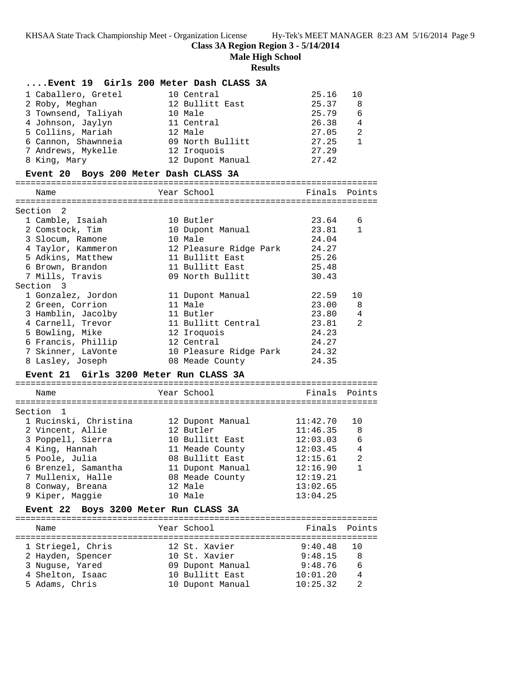**Class 3A Region Region 3 - 5/14/2014**

**Male High School**

## **Results**

|                                        | Event 19 Girls 200 Meter Dash CLASS 3A |               |              |
|----------------------------------------|----------------------------------------|---------------|--------------|
| 1 Caballero, Gretel                    | 10 Central                             | 25.16         | 10           |
| 2 Roby, Meghan                         | 12 Bullitt East                        | 25.37         | 8            |
| 3 Townsend, Taliyah                    | 10 Male                                | 25.79         | 6            |
| 4 Johnson, Jaylyn                      | 11 Central                             | 26.38         | 4            |
| 5 Collins, Mariah                      | 12 Male                                | 27.05         | 2            |
| 6 Cannon, Shawnneia                    | 09 North Bullitt                       | 27.25         | $\mathbf{1}$ |
| 7 Andrews, Mykelle                     | 12 Iroquois                            | 27.29         |              |
| 8 King, Mary                           | 12 Dupont Manual                       | 27.42         |              |
| Event 20 Boys 200 Meter Dash CLASS 3A  |                                        |               |              |
| Name                                   | Year School                            | Finals Points |              |
|                                        |                                        |               |              |
| Section 2                              |                                        |               |              |
| 1 Camble, Isaiah                       | 10 Butler                              | 23.64         | 6            |
| 2 Comstock, Tim                        | 10 Dupont Manual                       | 23.81         | $\mathbf{1}$ |
| 3 Slocum, Ramone                       | 10 Male                                | 24.04         |              |
| 4 Taylor, Kammeron                     | 12 Pleasure Ridge Park                 | 24.27         |              |
| 5 Adkins, Matthew                      | 11 Bullitt East                        | 25.26         |              |
| 6 Brown, Brandon                       | 11 Bullitt East                        | 25.48         |              |
| 7 Mills, Travis                        | 09 North Bullitt                       | 30.43         |              |
| Section 3                              |                                        |               |              |
| 1 Gonzalez, Jordon                     | 11 Dupont Manual                       | 22.59         | 10           |
| 2 Green, Corrion                       | 11 Male                                | 23.00         | 8            |
| 3 Hamblin, Jacolby                     | 11 Butler                              | 23.80         | 4            |
| 4 Carnell, Trevor                      | 11 Bullitt Central                     | 23.81         | 2            |
| 5 Bowling, Mike                        | 12 Iroquois                            | 24.23         |              |
| 6 Francis, Phillip                     | 12 Central                             | 24.27         |              |
| 7 Skinner, LaVonte                     | 10 Pleasure Ridge Park                 | 24.32         |              |
| 8 Lasley, Joseph                       | 08 Meade County                        | 24.35         |              |
|                                        |                                        |               |              |
| Event 21 Girls 3200 Meter Run CLASS 3A |                                        |               |              |
| Name                                   | Year School                            | Finals        | Points       |
|                                        |                                        |               |              |
| Section 1                              |                                        |               |              |
| 1 Rucinski, Christina                  | 12 Dupont Manual                       | 11:42.70      | 10           |
| 2 Vincent, Allie                       | 12 Butler                              | 11:46.35      | -8           |
| 3 Poppell, Sierra                      | 10 Bullitt East                        | 12:03.03      | 6            |
| 4 King, Hannah                         | 11 Meade County                        | 12:03.45      | 4            |
| 5 Poole, Julia                         | 08 Bullitt East                        | 12:15.61      | 2            |
| 6 Brenzel, Samantha                    | 11 Dupont Manual                       | 12:16.90      | 1            |
| 7 Mullenix, Halle                      | 08 Meade County                        | 12:19.21      |              |
| 8 Conway, Breana                       | 12 Male                                | 13:02.65      |              |
| 9 Kiper, Maggie                        | 10 Male                                | 13:04.25      |              |
| <b>Event 22</b>                        | Boys 3200 Meter Run CLASS 3A           |               |              |
| Name                                   | Year School                            | Finals        | Points       |
|                                        |                                        |               |              |
| 1 Striegel, Chris                      | 12 St. Xavier                          | 9:40.48       | 10           |
| 2 Hayden, Spencer                      | 10 St. Xavier                          | 9:48.15       | 8            |
| 3 Nuguse, Yared                        | 09 Dupont Manual                       | 9:48.76       | 6            |
| 4 Shelton, Isaac                       | 10 Bullitt East                        | 10:01.20      | 4            |
| 5 Adams, Chris                         | 10 Dupont Manual                       | 10:25.32      | 2            |
|                                        |                                        |               |              |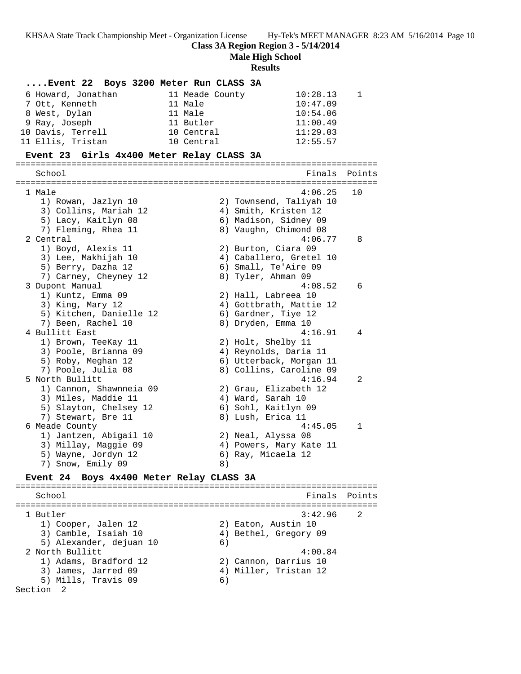**Class 3A Region Region 3 - 5/14/2014**

**Male High School**

**Results**

| Event 22 Boys 3200 Meter Run CLASS 3A                              |                           |
|--------------------------------------------------------------------|---------------------------|
| 6 Howard, Jonathan<br>11 Meade County<br>7 Ott, Kenneth<br>11 Male | 10:28.13<br>1<br>10:47.09 |
| 8 West, Dylan<br>11 Male                                           | 10:54.06                  |
| 9 Ray, Joseph<br>11 Butler                                         | 11:00.49                  |
| 10 Davis, Terrell<br>10 Central                                    | 11:29.03                  |
| 11 Ellis, Tristan<br>10 Central                                    | 12:55.57                  |
| Event 23 Girls 4x400 Meter Relay CLASS 3A                          |                           |
| School                                                             | Finals<br>Points          |
|                                                                    |                           |
| 1 Male                                                             | 4:06.25<br>10             |
| 1) Rowan, Jazlyn 10                                                | 2) Townsend, Taliyah 10   |
| 3) Collins, Mariah 12                                              | 4) Smith, Kristen 12      |
| 5) Lacy, Kaitlyn 08                                                | 6) Madison, Sidney 09     |
| 7) Fleming, Rhea 11                                                | 8) Vaughn, Chimond 08     |
| 2 Central                                                          | 4:06.77<br>8              |
| 1) Boyd, Alexis 11                                                 | 2) Burton, Ciara 09       |
| 3) Lee, Makhijah 10                                                | 4) Caballero, Gretel 10   |
| 5) Berry, Dazha 12                                                 | 6) Small, Te'Aire 09      |
| 7) Carney, Cheyney 12                                              | 8) Tyler, Ahman 09        |
| 3 Dupont Manual                                                    | 4:08.52<br>6              |
| 1) Kuntz, Emma 09                                                  | 2) Hall, Labreea 10       |
| 3) King, Mary 12                                                   | 4) Gottbrath, Mattie 12   |
| 5) Kitchen, Danielle 12                                            | 6) Gardner, Tiye 12       |
| 7) Been, Rachel 10                                                 | 8) Dryden, Emma 10        |
| 4 Bullitt East                                                     | 4:16.91<br>4              |
| 1) Brown, TeeKay 11                                                | 2) Holt, Shelby 11        |
| 3) Poole, Brianna 09                                               | 4) Reynolds, Daria 11     |
| 5) Roby, Meghan 12                                                 | 6) Utterback, Morgan 11   |
| 7) Poole, Julia 08                                                 | 8) Collins, Caroline 09   |
| 5 North Bullitt                                                    | 4:16.94<br>2              |
| 1) Cannon, Shawnneia 09                                            | 2) Grau, Elizabeth 12     |
| 3) Miles, Maddie 11                                                | 4) Ward, Sarah 10         |
| 5) Slayton, Chelsey 12                                             | 6) Sohl, Kaitlyn 09       |
| 7) Stewart, Bre 11                                                 | 8) Lush, Erica 11         |
| 6 Meade County                                                     | 4:45.05<br>1              |
| 1) Jantzen, Abigail 10                                             | 2) Neal, Alyssa 08        |
| 3) Millay, Maggie 09                                               | 4) Powers, Mary Kate 11   |
| 5) Wayne, Jordyn 12                                                | 6) Ray, Micaela 12        |
| 7) Snow, Emily 09                                                  | 8)                        |
| Event 24 Boys 4x400 Meter Relay CLASS 3A                           |                           |
| School                                                             | Finals<br>Points          |
|                                                                    |                           |
| 1 Butler                                                           | 3:42.96<br>2              |
| 1) Cooper, Jalen 12                                                | 2) Eaton, Austin 10       |
| 3) Camble, Isaiah 10                                               | 4) Bethel, Gregory 09     |
| 5) Alexander, dejuan 10                                            | 6)                        |
| 2 North Bullitt                                                    | 4:00.84                   |
| 1) Adams, Bradford 12                                              | 2) Cannon, Darrius 10     |
| 3) James, Jarred 09                                                | 4) Miller, Tristan 12     |
| 5) Mills, Travis 09                                                | 6)                        |
| Section<br>$\overline{\phantom{0}}^2$                              |                           |